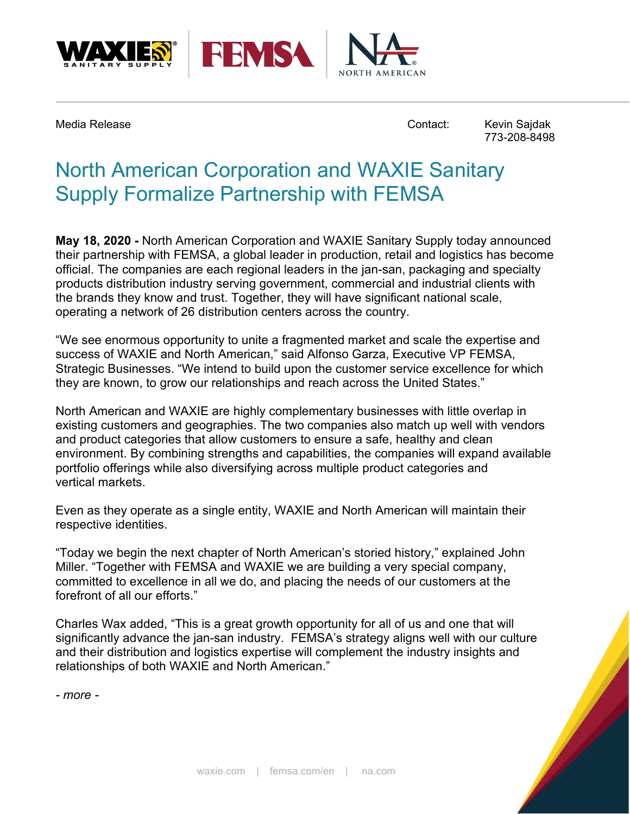



Media Release **Contact:** Kevin Sajdak

773-208-8498

## North American Corporation and WAXIE Sanitary Supply Formalize Partnership with FEMSA

**May 18, 2020 -** North American Corporation and WAXIE Sanitary Supply today announced their partnership with FEMSA, a global leader in production, retail and logistics has become official. The companies are each regional leaders in the jan-san, packaging and specialty products distribution industry serving government, commercial and industrial clients with the brands they know and trust. Together, they will have significant national scale, operating a network of 26 distribution centers across the country.

"We see enormous opportunity to unite a fragmented market and scale the expertise and success of WAXIE and North American," said Alfonso Garza, Executive VP FEMSA, Strategic Businesses. "We intend to build upon the customer service excellence for which they are known, to grow our relationships and reach across the United States."

North American and WAXIE are highly complementary businesses with little overlap in existing customers and geographies. The two companies also match up well with vendors and product categories that allow customers to ensure a safe, healthy and clean environment. By combining strengths and capabilities, the companies will expand available portfolio offerings while also diversifying across multiple product categories and vertical markets.

Even as they operate as a single entity, WAXIE and North American will maintain their respective identities.

"Today we begin the next chapter of North American's storied history," explained John Miller. "Together with FEMSA and WAXIE we are building a very special company, committed to excellence in all we do, and placing the needs of our customers at the forefront of all our efforts."

Charles Wax added, "This is a great growth opportunity for all of us and one that will significantly advance the jan-san industry. FEMSA's strategy aligns well with our culture and their distribution and logistics expertise will complement the industry insights and relationships of both WAXIE and North American."

*- more -*